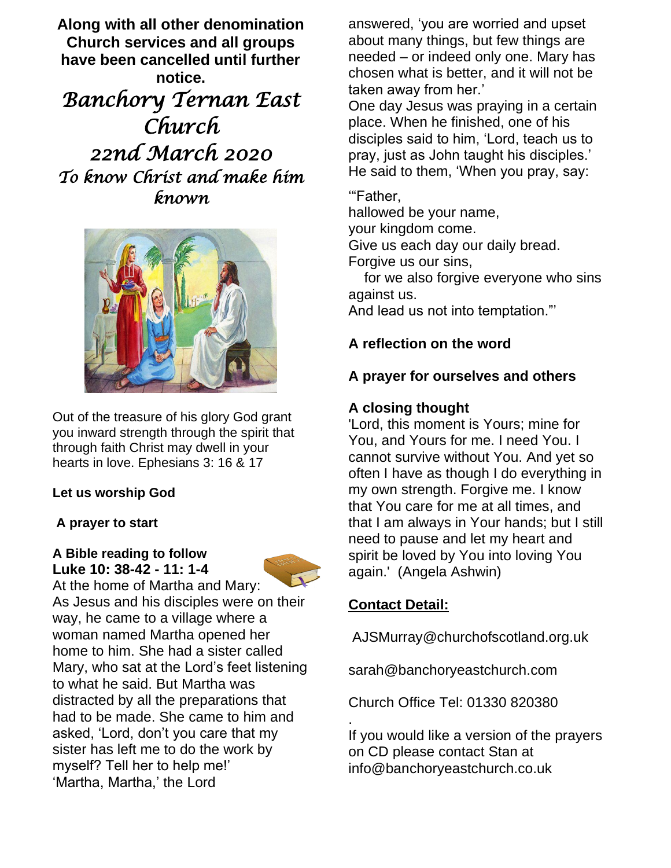**Along with all other denomination Church services and all groups have been cancelled until further notice.** *Banchory Ternan East Church 22nd March 2020 To know Christ and make him* 

*known* 



Out of the treasure of his glory God grant you inward strength through the spirit that through faith Christ may dwell in your hearts in love. Ephesians 3: 16 & 17

#### **Let us worship God**

#### **A prayer to start**

#### **A Bible reading to follow Luke 10: 38-42 - 11: 1-4**



At the home of Martha and Mary: As Jesus and his disciples were on their way, he came to a village where a woman named Martha opened her home to him. She had a sister called Mary, who sat at the Lord's feet listening to what he said. But Martha was distracted by all the preparations that had to be made. She came to him and asked, 'Lord, don't you care that my sister has left me to do the work by myself? Tell her to help me!' 'Martha, Martha,' the Lord

answered, 'you are worried and upset about many things, but few things are needed – or indeed only one. Mary has chosen what is better, and it will not be taken away from her.'

One day Jesus was praying in a certain place. When he finished, one of his disciples said to him, 'Lord, teach us to pray, just as John taught his disciples.' He said to them, 'When you pray, say:

'"Father,

hallowed be your name, your kingdom come.

Give us each day our daily bread.

Forgive us our sins,

 for we also forgive everyone who sins against us.

And lead us not into temptation."'

### **A reflection on the word**

#### **A prayer for ourselves and others**

#### **A closing thought**

'Lord, this moment is Yours; mine for You, and Yours for me. I need You. I cannot survive without You. And yet so often I have as though I do everything in my own strength. Forgive me. I know that You care for me at all times, and that I am always in Your hands; but I still need to pause and let my heart and spirit be loved by You into loving You again.' (Angela Ashwin)

### **Contact Detail:**

.

AJSMurray@churchofscotland.org.uk

sarah@banchoryeastchurch.com

Church Office Tel: 01330 820380

If you would like a version of the prayers on CD please contact Stan at info@banchoryeastchurch.co.uk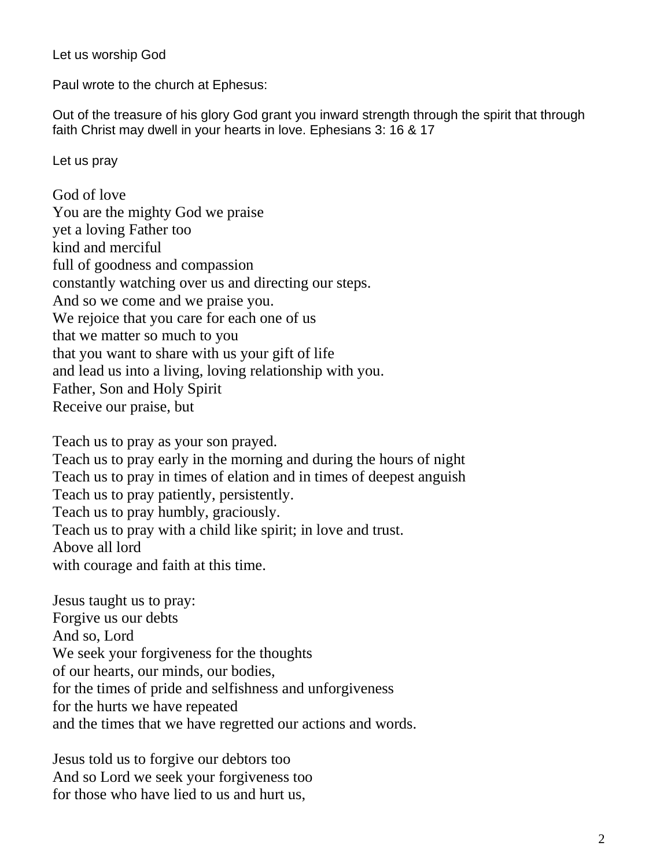Let us worship God

Paul wrote to the church at Ephesus:

Out of the treasure of his glory God grant you inward strength through the spirit that through faith Christ may dwell in your hearts in love. Ephesians 3: 16 & 17

Let us pray

God of love You are the mighty God we praise yet a loving Father too kind and merciful full of goodness and compassion constantly watching over us and directing our steps. And so we come and we praise you. We rejoice that you care for each one of us that we matter so much to you that you want to share with us your gift of life and lead us into a living, loving relationship with you. Father, Son and Holy Spirit Receive our praise, but

Teach us to pray as your son prayed. Teach us to pray early in the morning and during the hours of night Teach us to pray in times of elation and in times of deepest anguish Teach us to pray patiently, persistently. Teach us to pray humbly, graciously. Teach us to pray with a child like spirit; in love and trust. Above all lord with courage and faith at this time.

Jesus taught us to pray: Forgive us our debts And so, Lord We seek your forgiveness for the thoughts of our hearts, our minds, our bodies, for the times of pride and selfishness and unforgiveness for the hurts we have repeated and the times that we have regretted our actions and words.

Jesus told us to forgive our debtors too And so Lord we seek your forgiveness too for those who have lied to us and hurt us,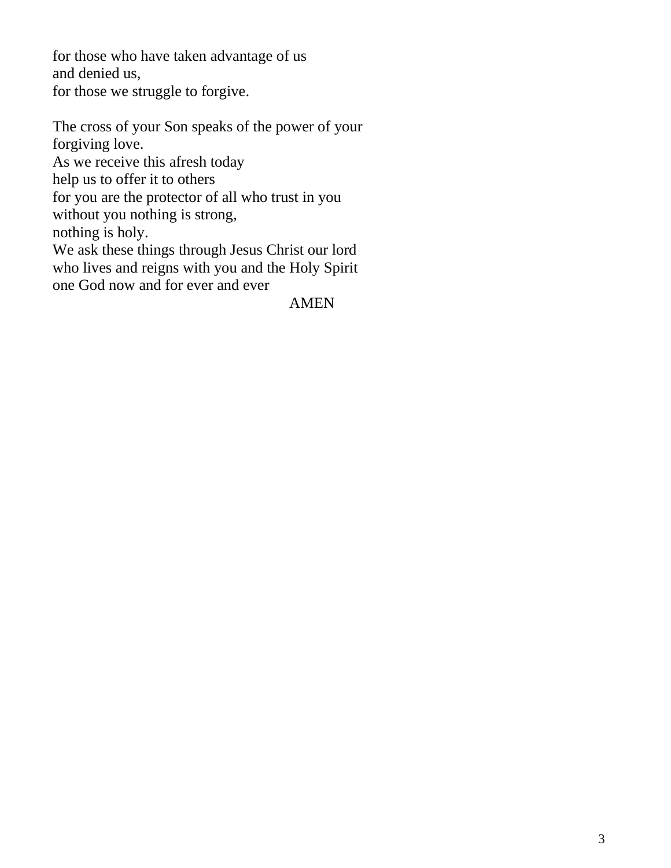for those who have taken advantage of us and denied us, for those we struggle to forgive.

The cross of your Son speaks of the power of your forgiving love. As we receive this afresh today help us to offer it to others for you are the protector of all who trust in you without you nothing is strong, nothing is holy. We ask these things through Jesus Christ our lord who lives and reigns with you and the Holy Spirit one God now and for ever and ever

# AMEN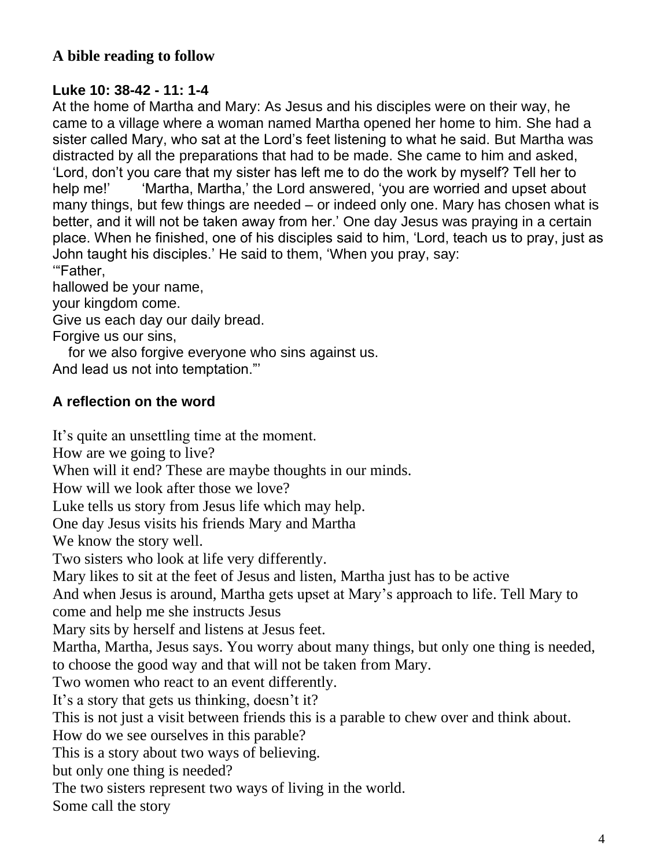# **A bible reading to follow**

# **Luke 10: 38-42 - 11: 1-4**

At the home of Martha and Mary: As Jesus and his disciples were on their way, he came to a village where a woman named Martha opened her home to him. She had a sister called Mary, who sat at the Lord's feet listening to what he said. But Martha was distracted by all the preparations that had to be made. She came to him and asked, 'Lord, don't you care that my sister has left me to do the work by myself? Tell her to help me!' 'Martha, Martha,' the Lord answered, 'you are worried and upset about many things, but few things are needed – or indeed only one. Mary has chosen what is better, and it will not be taken away from her.' One day Jesus was praying in a certain place. When he finished, one of his disciples said to him, 'Lord, teach us to pray, just as John taught his disciples.' He said to them, 'When you pray, say: '"Father,

hallowed be your name,

your kingdom come.

Give us each day our daily bread.

Forgive us our sins,

 for we also forgive everyone who sins against us. And lead us not into temptation."'

# **A reflection on the word**

It's quite an unsettling time at the moment. How are we going to live? When will it end? These are maybe thoughts in our minds. How will we look after those we love? Luke tells us story from Jesus life which may help. One day Jesus visits his friends Mary and Martha We know the story well. Two sisters who look at life very differently. Mary likes to sit at the feet of Jesus and listen, Martha just has to be active And when Jesus is around, Martha gets upset at Mary's approach to life. Tell Mary to come and help me she instructs Jesus Mary sits by herself and listens at Jesus feet. Martha, Martha, Jesus says. You worry about many things, but only one thing is needed, to choose the good way and that will not be taken from Mary. Two women who react to an event differently. It's a story that gets us thinking, doesn't it? This is not just a visit between friends this is a parable to chew over and think about. How do we see ourselves in this parable? This is a story about two ways of believing. but only one thing is needed? The two sisters represent two ways of living in the world. Some call the story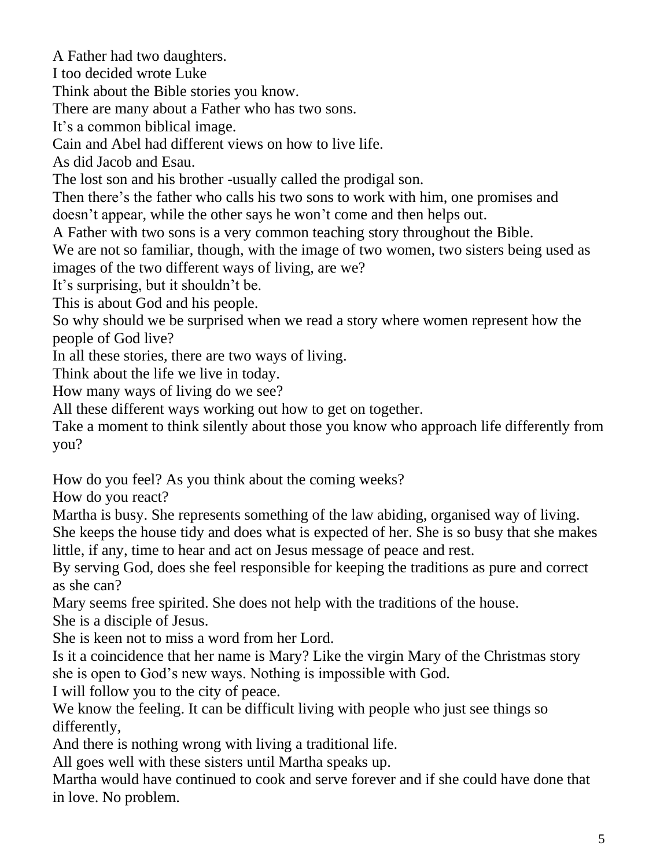A Father had two daughters.

I too decided wrote Luke

Think about the Bible stories you know.

There are many about a Father who has two sons.

It's a common biblical image.

Cain and Abel had different views on how to live life.

As did Jacob and Esau.

The lost son and his brother -usually called the prodigal son.

Then there's the father who calls his two sons to work with him, one promises and doesn't appear, while the other says he won't come and then helps out.

A Father with two sons is a very common teaching story throughout the Bible.

We are not so familiar, though, with the image of two women, two sisters being used as images of the two different ways of living, are we?

It's surprising, but it shouldn't be.

This is about God and his people.

So why should we be surprised when we read a story where women represent how the people of God live?

In all these stories, there are two ways of living.

Think about the life we live in today.

How many ways of living do we see?

All these different ways working out how to get on together.

Take a moment to think silently about those you know who approach life differently from you?

How do you feel? As you think about the coming weeks?

How do you react?

Martha is busy. She represents something of the law abiding, organised way of living. She keeps the house tidy and does what is expected of her. She is so busy that she makes little, if any, time to hear and act on Jesus message of peace and rest.

By serving God, does she feel responsible for keeping the traditions as pure and correct as she can?

Mary seems free spirited. She does not help with the traditions of the house. She is a disciple of Jesus.

She is keen not to miss a word from her Lord.

Is it a coincidence that her name is Mary? Like the virgin Mary of the Christmas story she is open to God's new ways. Nothing is impossible with God.

I will follow you to the city of peace.

We know the feeling. It can be difficult living with people who just see things so differently,

And there is nothing wrong with living a traditional life.

All goes well with these sisters until Martha speaks up.

Martha would have continued to cook and serve forever and if she could have done that in love. No problem.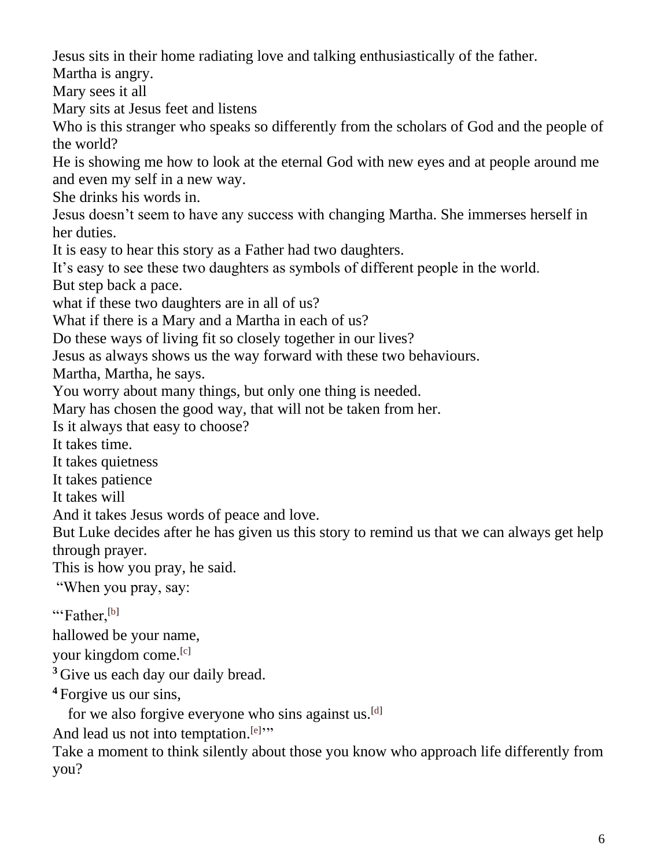Jesus sits in their home radiating love and talking enthusiastically of the father.

Martha is angry.

Mary sees it all

Mary sits at Jesus feet and listens

Who is this stranger who speaks so differently from the scholars of God and the people of the world?

He is showing me how to look at the eternal God with new eyes and at people around me and even my self in a new way.

She drinks his words in.

Jesus doesn't seem to have any success with changing Martha. She immerses herself in her duties.

It is easy to hear this story as a Father had two daughters.

It's easy to see these two daughters as symbols of different people in the world.

But step back a pace.

what if these two daughters are in all of us?

What if there is a Mary and a Martha in each of us?

Do these ways of living fit so closely together in our lives?

Jesus as always shows us the way forward with these two behaviours.

Martha, Martha, he says.

You worry about many things, but only one thing is needed.

Mary has chosen the good way, that will not be taken from her.

Is it always that easy to choose?

It takes time.

It takes quietness

It takes patience

It takes will

And it takes Jesus words of peace and love.

But Luke decides after he has given us this story to remind us that we can always get help through prayer.

This is how you pray, he said.

"When you pray, say:

"'Father,<sup>[\[b\]](https://www.biblegateway.com/passage/?search=luke+10%3A38-11%3A4&version=NIV&interface=print#fen-NIV-25408b)</sup>

hallowed be your name,

your kingdom come.<sup>[\[c\]](https://www.biblegateway.com/passage/?search=luke+10%3A38-11%3A4&version=NIV&interface=print#fen-NIV-25408c)</sup>

<sup>3</sup> Give us each day our daily bread.

**<sup>4</sup>** Forgive us our sins,

for we also forgive everyone who sins against us.<sup>[\[d\]](https://www.biblegateway.com/passage/?search=luke+10%3A38-11%3A4&version=NIV&interface=print#fen-NIV-25410d)</sup>

And lead us not into temptation.<sup>[\[e\]](https://www.biblegateway.com/passage/?search=luke+10%3A38-11%3A4&version=NIV&interface=print#fen-NIV-25410e)</sup>"

Take a moment to think silently about those you know who approach life differently from you?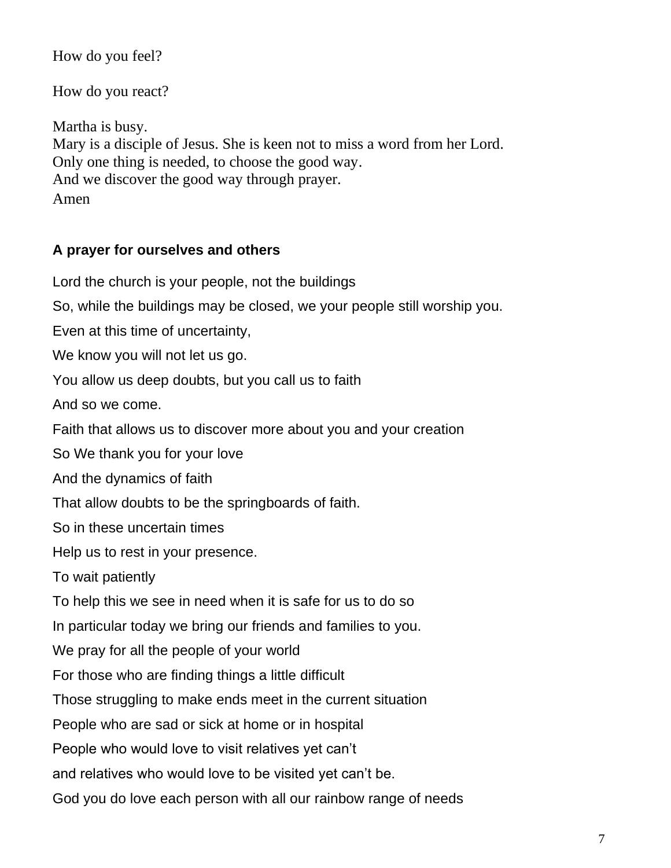How do you feel?

How do you react?

Martha is busy. Mary is a disciple of Jesus. She is keen not to miss a word from her Lord. Only one thing is needed, to choose the good way. And we discover the good way through prayer. Amen

# **A prayer for ourselves and others**

Lord the church is your people, not the buildings So, while the buildings may be closed, we your people still worship you. Even at this time of uncertainty, We know you will not let us go. You allow us deep doubts, but you call us to faith And so we come. Faith that allows us to discover more about you and your creation So We thank you for your love And the dynamics of faith That allow doubts to be the springboards of faith. So in these uncertain times Help us to rest in your presence. To wait patiently To help this we see in need when it is safe for us to do so In particular today we bring our friends and families to you. We pray for all the people of your world For those who are finding things a little difficult Those struggling to make ends meet in the current situation People who are sad or sick at home or in hospital People who would love to visit relatives yet can't and relatives who would love to be visited yet can't be. God you do love each person with all our rainbow range of needs